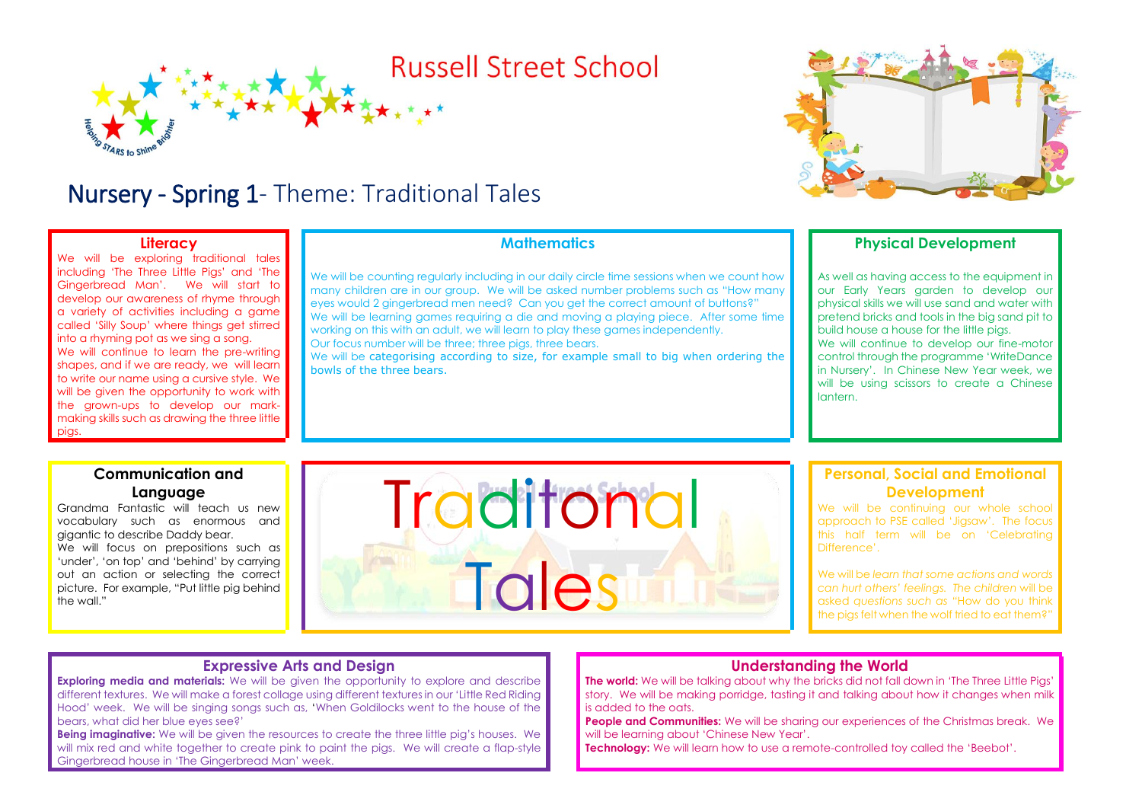## **Russell Street School**

### Nursery - Spring 1- Theme: Traditional Tales

#### **Literacy**

We will be exploring traditional tales including 'The Three Little Pigs' and 'The Gingerbread Man'. We will start to develop our awareness of rhyme through a variety of activities including a game called 'Silly Soup' where things get stirred into a rhyming pot as we sing a song. We will continue to learn the pre-writing shapes, and if we are ready, we will learn to write our name using a cursive style. We will be given the opportunity to work with the grown-ups to develop our markmaking skills such as drawing the three little pigs.

#### **Mathematics**

We will be counting regularly including in our daily circle time sessions when we count how many children are in our group. We will be asked number problems such as "How many eyes would 2 gingerbread men need? Can you get the correct amount of buttons?" We will be learning games requiring a die and moving a playing piece. After some time working on this with an adult, we will learn to play these games independently.

Our focus number will be three; three pigs, three bears.

We will be categorising according to size, for example small to big when ordering the bowls of the three bears.

#### **Physical Development**

As well as having access to the equipment in our Early Years garden to develop our physical skills we will use sand and water with pretend bricks and tools in the big sand pit to build house a house for the little pigs. We will continue to develop our fine-motor control through the programme 'WriteDance in Nursery'. In Chinese New Year week, we will be using scissors to create a Chinese lantern.

#### **Communication and Language**

Grandma Fantastic will teach us new vocabulary such as enormous and gigantic to describe Daddy bear. We will focus on prepositions such as 'under', 'on top' and 'behind' by carrying out an action or selecting the correct picture. For example, "Put little pig behind the wall."

# **Traditonal** Tales

#### **Personal, Social and Emotional Development**

We will be continuing our whole school approach to PSE called 'Jigsaw'. The focus this half term will be on 'Celebrating Difference'.

We will be *learn that some actions and words can hurt others' feelings. The children* will be asked *questions such as "*How do you think the pigs felt when the wolf tried to eat them?"

#### **Expressive Arts and Design**

**Exploring media and materials:** We will be given the opportunity to explore and describe different textures. We will make a forest collage using different textures in our 'Little Red Riding Hood' week. We will be singing songs such as, 'When Goldilocks went to the house of the bears, what did her blue eyes see?'

**Being imaginative:** We will be given the resources to create the three little pig's houses. We will mix red and white together to create pink to paint the pigs. We will create a flap-style Gingerbread house in 'The Gingerbread Man' week.

#### **Understanding the World**

**The world:** We will be talking about why the bricks did not fall down in 'The Three Little Pigs' story. We will be making porridge, tasting it and talking about how it changes when milk is added to the oats.

**People and Communities:** We will be sharing our experiences of the Christmas break. We will be learning about 'Chinese New Year'.

**Technology:** We will learn how to use a remote-controlled toy called the 'Beebot'.

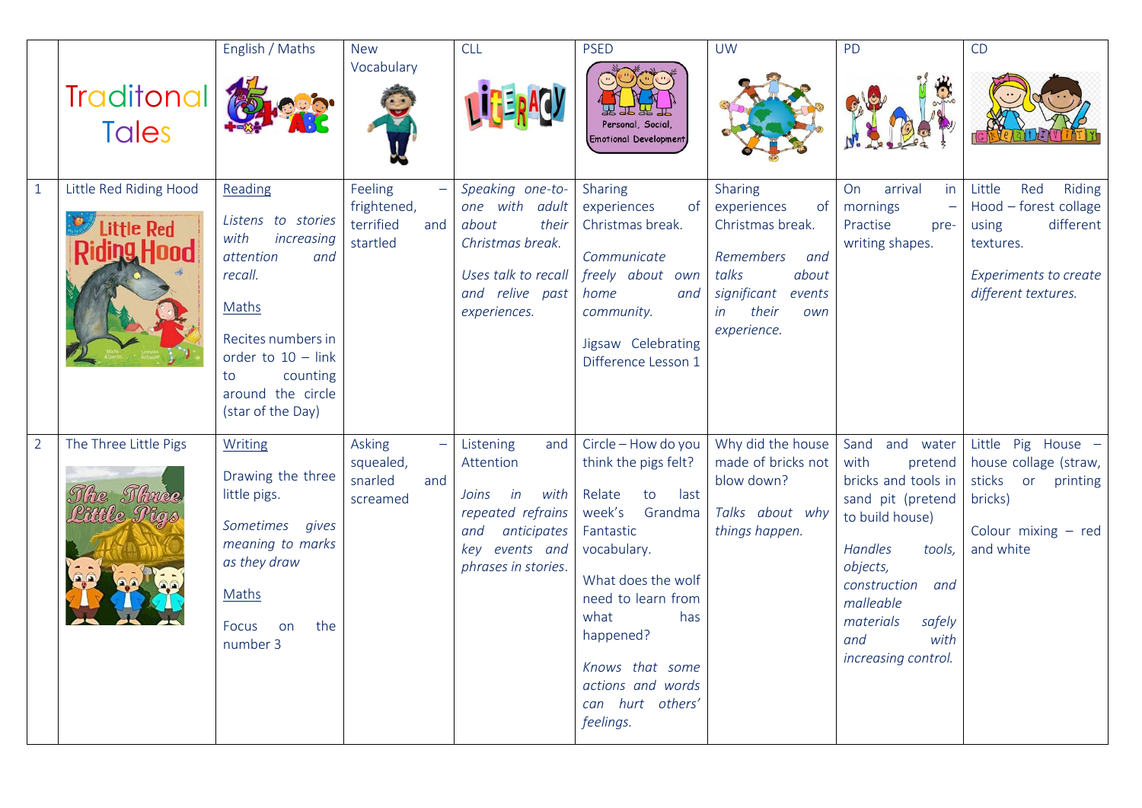|                |                                                            | English / Maths                                                                                                                                                                                       | <b>New</b><br>Vocabulary                               | <b>CLL</b>                                                                                                                               | <b>PSED</b>                                                                                                                                                                                                                                                           | <b>UW</b>                                                                                                                                            | PD                                                                                                                                                                                                                                 | CD                                                                                                                                  |
|----------------|------------------------------------------------------------|-------------------------------------------------------------------------------------------------------------------------------------------------------------------------------------------------------|--------------------------------------------------------|------------------------------------------------------------------------------------------------------------------------------------------|-----------------------------------------------------------------------------------------------------------------------------------------------------------------------------------------------------------------------------------------------------------------------|------------------------------------------------------------------------------------------------------------------------------------------------------|------------------------------------------------------------------------------------------------------------------------------------------------------------------------------------------------------------------------------------|-------------------------------------------------------------------------------------------------------------------------------------|
|                | <b>Traditonal</b><br><b>Tales</b>                          |                                                                                                                                                                                                       |                                                        |                                                                                                                                          | Personal, Social,<br><b>Emotional Development</b>                                                                                                                                                                                                                     |                                                                                                                                                      |                                                                                                                                                                                                                                    |                                                                                                                                     |
| $\mathbf{1}$   | Little Red Riding Hood<br>Little Red<br><b>Riding Hood</b> | Reading<br>Listens to stories<br>with<br>increasing<br>attention<br>and<br>recall.<br>Maths<br>Recites numbers in<br>order to $10 - link$<br>counting<br>to<br>around the circle<br>(star of the Day) | Feeling<br>frightened,<br>terrified<br>and<br>startled | Speaking one-to-<br>one with adult<br>about<br>their<br>Christmas break.<br>Uses talk to recall<br>and relive past<br>experiences.       | Sharing<br>experiences<br>of<br>Christmas break.<br>Communicate<br>freely about own<br>home<br>and<br>community.<br>Jigsaw Celebrating<br>Difference Lesson 1                                                                                                         | Sharing<br>experiences<br>of<br>Christmas break.<br>Remembers<br>and<br>about<br>talks<br>significant<br>events<br>their<br>in<br>own<br>experience. | On<br>arrival<br>in<br>mornings<br>Practise<br>pre-<br>writing shapes.                                                                                                                                                             | Little<br>Red<br>Riding<br>Hood - forest collage<br>different<br>using<br>textures.<br>Experiments to create<br>different textures. |
| $\overline{2}$ | The Three Little Pigs<br>The Three<br>Little Pia           | <b>Writing</b><br>Drawing the three<br>little pigs.<br>Sometimes<br>gives<br>meaning to marks<br>as they draw<br>Maths<br>the<br>Focus<br>on<br>number 3                                              | Asking<br>squealed,<br>snarled<br>and<br>screamed      | Listening<br>and<br>Attention<br>in<br>with<br>Joins<br>repeated refrains<br>anticipates<br>and<br>key events and<br>phrases in stories. | Circle - How do you<br>think the pigs felt?<br>Relate<br>to<br>last<br>week's<br>Grandma<br>Fantastic<br>vocabulary.<br>What does the wolf<br>need to learn from<br>what<br>has<br>happened?<br>Knows that some<br>actions and words<br>can hurt others'<br>feelings. | Why did the house<br>made of bricks not<br>blow down?<br>Talks about why<br>things happen.                                                           | Sand and water<br>with<br>pretend<br>bricks and tools in<br>sand pit (pretend<br>to build house)<br>Handles<br>tools,<br>objects,<br>construction<br>and<br>malleable<br>materials<br>safely<br>with<br>and<br>increasing control. | Little Pig House -<br>house collage (straw,<br>sticks<br>or printing<br>bricks)<br>Colour mixing $-$ red<br>and white               |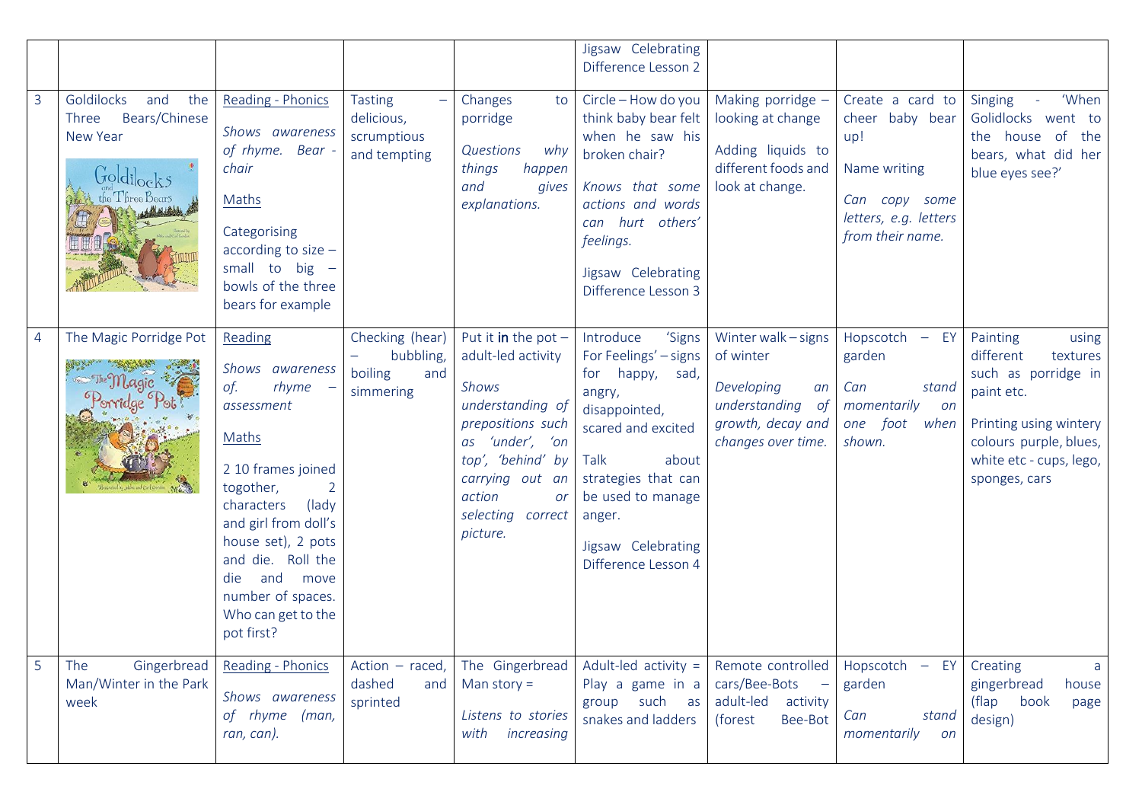|                |                                                                                                 |                                                                                                                                                                                                                                                                                |                                                             |                                                                                                                                                                                                           | Jigsaw Celebrating<br>Difference Lesson 2                                                                                                                                                                                               |                                                                                                                     |                                                                                                                          |                                                                                                                                                                                 |
|----------------|-------------------------------------------------------------------------------------------------|--------------------------------------------------------------------------------------------------------------------------------------------------------------------------------------------------------------------------------------------------------------------------------|-------------------------------------------------------------|-----------------------------------------------------------------------------------------------------------------------------------------------------------------------------------------------------------|-----------------------------------------------------------------------------------------------------------------------------------------------------------------------------------------------------------------------------------------|---------------------------------------------------------------------------------------------------------------------|--------------------------------------------------------------------------------------------------------------------------|---------------------------------------------------------------------------------------------------------------------------------------------------------------------------------|
| $\overline{3}$ | Goldilocks<br>and<br>the<br>Bears/Chinese<br>Three<br>New Year<br>Goldilocks<br>the Three Bears | Reading - Phonics<br>Shows awareness<br>of rhyme. Bear -<br>chair<br>Maths<br>Categorising<br>according to size $-$<br>small to big $-$<br>bowls of the three<br>bears for example                                                                                             | <b>Tasting</b><br>delicious,<br>scrumptious<br>and tempting | Changes<br>to<br>porridge<br>Questions<br>why<br>things<br>happen<br>and<br>gives<br>explanations.                                                                                                        | Circle - How do you<br>think baby bear felt<br>when he saw his<br>broken chair?<br>Knows that some<br>actions and words<br>can hurt others'<br>feelings.<br>Jigsaw Celebrating<br>Difference Lesson 3                                   | Making porridge -<br>looking at change<br>Adding liquids to<br>different foods and<br>look at change.               | Create a card to<br>cheer baby bear<br>up!<br>Name writing<br>Can copy some<br>letters, e.g. letters<br>from their name. | - 'When<br>Singing<br>Golidlocks went to<br>the house of<br>the<br>bears, what did her<br>blue eyes see?'                                                                       |
| $\overline{4}$ | The Magic Porridge Pot                                                                          | Reading<br>Shows awareness<br>of.<br>rhyme<br>assessment<br>Maths<br>2 10 frames joined<br>togother,<br>characters<br>(lady)<br>and girl from doll's<br>house set), 2 pots<br>and die. Roll the<br>and<br>die<br>move<br>number of spaces.<br>Who can get to the<br>pot first? | Checking (hear)<br>bubbling,<br>boiling<br>and<br>simmering | Put it in the pot $-$<br>adult-led activity<br>Shows<br>understanding of<br>prepositions such<br>as 'under', 'on<br>top', 'behind' by<br>carrying out an<br>action<br>or<br>selecting correct<br>picture. | Introduce<br>'Signs<br>For Feelings' - signs<br>for happy,<br>sad,<br>angry,<br>disappointed,<br>scared and excited<br>Talk<br>about<br>strategies that can<br>be used to manage<br>anger.<br>Jigsaw Celebrating<br>Difference Lesson 4 | Winter walk - signs<br>of winter<br>Developing<br>an<br>understanding of<br>growth, decay and<br>changes over time. | Hopscotch - EY<br>garden<br>stand<br>Can<br>momentarily<br>on<br>one foot<br>when<br>shown.                              | Painting<br>using<br>different<br>textures<br>such as porridge in<br>paint etc.<br>Printing using wintery<br>colours purple, blues,<br>white etc - cups, lego,<br>sponges, cars |
| 5              | The<br>Gingerbread<br>Man/Winter in the Park<br>week                                            | Reading - Phonics<br>Shows awareness<br>of rhyme (man,<br>ran, can).                                                                                                                                                                                                           | Action $-$ raced,<br>dashed<br>and<br>sprinted              | The Gingerbread<br>Man story $=$<br>Listens to stories<br>with<br>increasing                                                                                                                              | Adult-led activity $=$<br>Play a game in a<br>such as<br>group<br>snakes and ladders                                                                                                                                                    | Remote controlled<br>cars/Bee-Bots<br>adult-led activity<br>Bee-Bot<br>(forest                                      | Hopscotch $-$ EY<br>garden<br>stand<br>Can<br>momentarily<br>on                                                          | Creating<br>a<br>gingerbread<br>house<br>(flap<br>book<br>page<br>design)                                                                                                       |